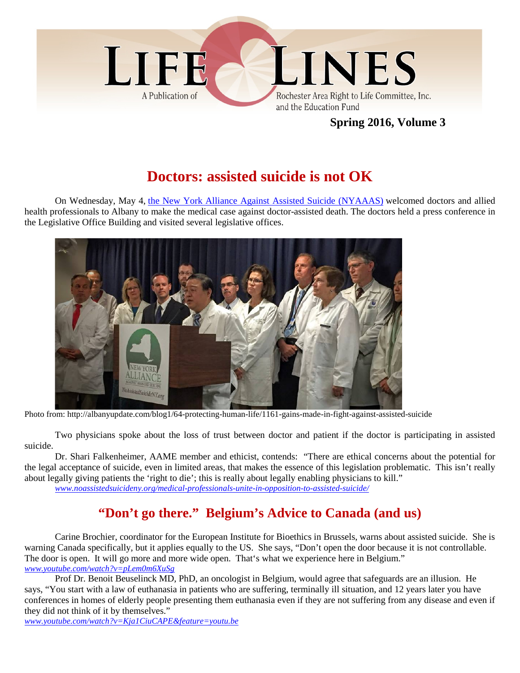

## **Spring 2016, Volume 3**

# **Doctors: assisted suicide is not OK**

On Wednesday, May 4, the New York Alliance Against Assisted Suicide (NYAAAS) welcomed doctors and allied health professionals to Albany to make the medical case against doctor-assisted death. The doctors held a press conference in the Legislative Office Building and visited several legislative offices.



Photo from: http://albanyupdate.com/blog1/64-protecting-human-life/1161-gains-made-in-fight-against-assisted-suicide

Two physicians spoke about the loss of trust between doctor and patient if the doctor is participating in assisted suicide.

Dr. Shari Falkenheimer, AAME member and ethicist, contends: "There are ethical concerns about the potential for the legal acceptance of suicide, even in limited areas, that makes the essence of this legislation problematic. This isn't really about legally giving patients the 'right to die'; this is really about legally enabling physicians to kill." *www.noassistedsuicideny.org/medical-professionals-unite-in-opposition-to-assisted-suicide/*

**"Don't go there." Belgium's Advice to Canada (and us)**

Carine Brochier, coordinator for the European Institute for Bioethics in Brussels, warns about assisted suicide. She is warning Canada specifically, but it applies equally to the US. She says, "Don't open the door because it is not controllable. The door is open. It will go more and more wide open. That's what we experience here in Belgium." *www.youtube.com/watch?v=pLem0m6XuSg*

Prof Dr. Benoit Beuselinck MD, PhD, an oncologist in Belgium, would agree that safeguards are an illusion. He says, "You start with a law of euthanasia in patients who are suffering, terminally ill situation, and 12 years later you have conferences in homes of elderly people presenting them euthanasia even if they are not suffering from any disease and even if they did not think of it by themselves."

*www.youtube.com/watch?v=Kja1CiuCAPE&feature=youtu.be*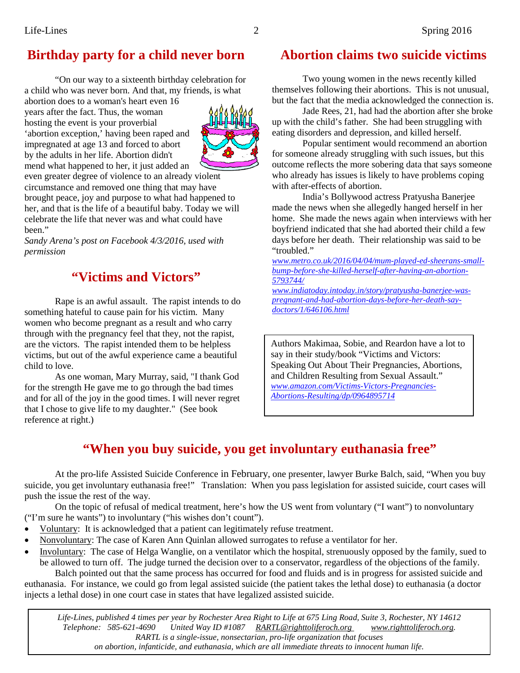# **Birthday party for a child never born**

"On our way to a sixteenth birthday celebration for a child who was never born. And that, my friends, is what

abortion does to a woman's heart even 16 years after the fact. Thus, the woman hosting the event is your proverbial 'abortion exception,' having been raped and impregnated at age 13 and forced to abort by the adults in her life. Abortion didn't mend what happened to her, it just added an



even greater degree of violence to an already violent circumstance and removed one thing that may have brought peace, joy and purpose to what had happened to her, and that is the life of a beautiful baby. Today we will celebrate the life that never was and what could have been."

*Sandy Arena's post on Facebook 4/3/2016, used with permission*

## **"Victims and Victors"**

Rape is an awful assault. The rapist intends to do something hateful to cause pain for his victim. Many women who become pregnant as a result and who carry through with the pregnancy feel that they, not the rapist, are the victors. The rapist intended them to be helpless victims, but out of the awful experience came a beautiful child to love.

As one woman, Mary Murray, said, "I thank God for the strength He gave me to go through the bad times and for all of the joy in the good times. I will never regret that I chose to give life to my daughter." (See book reference at right.)

## **Abortion claims two suicide victims**

Two young women in the news recently killed themselves following their abortions. This is not unusual, but the fact that the media acknowledged the connection is.

Jade Rees, 21, had had the abortion after she broke up with the child's father. She had been struggling with eating disorders and depression, and killed herself.

Popular sentiment would recommend an abortion for someone already struggling with such issues, but this outcome reflects the more sobering data that says someone who already has issues is likely to have problems coping with after-effects of abortion.

India's Bollywood actress Pratyusha Banerjee made the news when she allegedly hanged herself in her home. She made the news again when interviews with her boyfriend indicated that she had aborted their child a few days before her death. Their relationship was said to be "troubled."

*www.metro.co.uk/2016/04/04/mum-played-ed-sheerans-smallbump-before-she-killed-herself-after-having-an-abortion-5793744/*

*www.indiatoday.intoday.in/story/pratyusha-banerjee-waspregnant-and-had-abortion-days-before-her-death-saydoctors/1/646106.html*

Authors Makimaa, Sobie, and Reardon have a lot to say in their study/book "Victims and Victors: Speaking Out About Their Pregnancies, Abortions, and Children Resulting from Sexual Assault." *www.amazon.com/Victims-Victors-Pregnancies-Abortions-Resulting/dp/0964895714*

## **"When you buy suicide, you get involuntary euthanasia free"**

At the pro-life Assisted Suicide Conference in February, one presenter, lawyer Burke Balch, said, "When you buy suicide, you get involuntary euthanasia free!" Translation: When you pass legislation for assisted suicide, court cases will push the issue the rest of the way.

On the topic of refusal of medical treatment, here's how the US went from voluntary ("I want") to nonvoluntary ("I'm sure he wants") to involuntary ("his wishes don't count").

- Voluntary: It is acknowledged that a patient can legitimately refuse treatment.
- Nonvoluntary: The case of Karen Ann Quinlan allowed surrogates to refuse a ventilator for her.
- Involuntary: The case of Helga Wanglie, on a ventilator which the hospital, strenuously opposed by the family, sued to be allowed to turn off. The judge turned the decision over to a conservator, regardless of the objections of the family.

Balch pointed out that the same process has occurred for food and fluids and is in progress for assisted suicide and euthanasia. For instance, we could go from legal assisted suicide (the patient takes the lethal dose) to euthanasia (a doctor injects a lethal dose) in one court case in states that have legalized assisted suicide.

*Life-Lines, published 4 times per year by Rochester Area Right to Life at 675 Ling Road, Suite 3, Rochester, NY 14612 Telephone: 585-621-4690 United Way ID #1087 RARTL@righttoliferoch.org www.righttoliferoch.org. RARTL is a single-issue, nonsectarian, pro-life organization that focuses on abortion, infanticide, and euthanasia, which are all immediate threats to innocent human life.*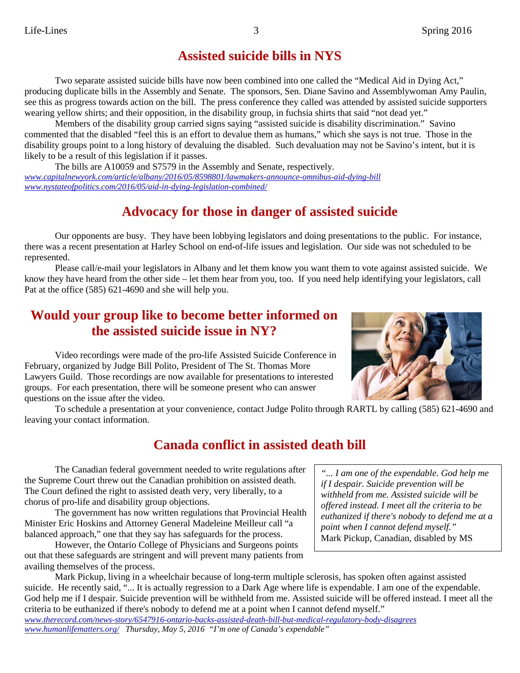## **Assisted suicide bills in NYS**

Two separate assisted suicide bills have now been combined into one called the "Medical Aid in Dying Act," producing duplicate bills in the Assembly and Senate. The sponsors, Sen. Diane Savino and Assemblywoman Amy Paulin, see this as progress towards action on the bill. The press conference they called was attended by assisted suicide supporters wearing yellow shirts; and their opposition, in the disability group, in fuchsia shirts that said "not dead yet."

Members of the disability group carried signs saying "assisted suicide is disability discrimination." Savino commented that the disabled "feel this is an effort to devalue them as humans," which she says is not true. Those in the disability groups point to a long history of devaluing the disabled. Such devaluation may not be Savino's intent, but it is likely to be a result of this legislation if it passes.

The bills are A10059 and S7579 in the Assembly and Senate, respectively. *www.capitalnewyork.com/article/albany/2016/05/8598801/lawmakers-announce-omnibus-aid-dying-bill www.nystateofpolitics.com/2016/05/aid-in-dying-legislation-combined/*

## **Advocacy for those in danger of assisted suicide**

Our opponents are busy. They have been lobbying legislators and doing presentations to the public. For instance, there was a recent presentation at Harley School on end-of-life issues and legislation. Our side was not scheduled to be represented.

Please call/e-mail your legislators in Albany and let them know you want them to vote against assisted suicide. We know they have heard from the other side – let them hear from you, too. If you need help identifying your legislators, call Pat at the office (585) 621-4690 and she will help you.

## **Would your group like to become better informed on the assisted suicide issue in NY?**

Video recordings were made of the pro-life Assisted Suicide Conference in February, organized by Judge Bill Polito, President of The St. Thomas More Lawyers Guild. Those recordings are now available for presentations to interested groups. For each presentation, there will be someone present who can answer questions on the issue after the video.



To schedule a presentation at your convenience, contact Judge Polito through RARTL by calling (585) 621-4690 and leaving your contact information.

## **Canada conflict in assisted death bill**

The Canadian federal government needed to write regulations after the Supreme Court threw out the Canadian prohibition on assisted death. The Court defined the right to assisted death very, very liberally, to a chorus of pro-life and disability group objections.

The government has now written regulations that Provincial Health Minister Eric Hoskins and Attorney General Madeleine Meilleur call "a balanced approach," one that they say has safeguards for the process.

However, the Ontario College of Physicians and Surgeons points out that these safeguards are stringent and will prevent many patients from availing themselves of the process.

*"... I am one of the expendable. God help me if I despair. Suicide prevention will be withheld from me. Assisted suicide will be offered instead. I meet all the criteria to be euthanized if there's nobody to defend me at a point when I cannot defend myself."* Mark Pickup, Canadian, disabled by MS

Mark Pickup, living in a wheelchair because of long-term multiple sclerosis, has spoken often against assisted suicide. He recently said, "... It is actually regression to a Dark Age where life is expendable. I am one of the expendable. God help me if I despair. Suicide prevention will be withheld from me. Assisted suicide will be offered instead. I meet all the criteria to be euthanized if there's nobody to defend me at a point when I cannot defend myself." *www.therecord.com/news-story/6547916-ontario-backs-assisted-death-bill-but-medical-regulatory-body-disagrees www.humanlifematters.org/ Thursday, May 5, 2016 "I'm one of Canada's expendable"*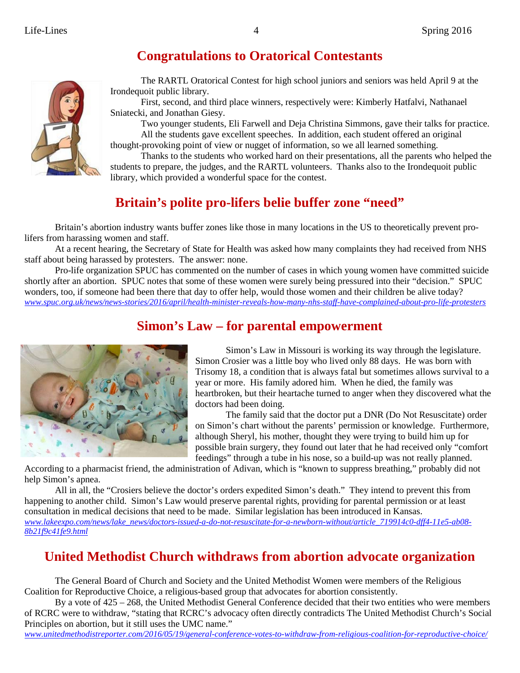# **Congratulations to Oratorical Contestants**



The RARTL Oratorical Contest for high school juniors and seniors was held April 9 at the Irondequoit public library.

First, second, and third place winners, respectively were: Kimberly Hatfalvi, Nathanael Sniatecki, and Jonathan Giesy.

Two younger students, Eli Farwell and Deja Christina Simmons, gave their talks for practice. All the students gave excellent speeches. In addition, each student offered an original thought-provoking point of view or nugget of information, so we all learned something.

Thanks to the students who worked hard on their presentations, all the parents who helped the students to prepare, the judges, and the RARTL volunteers. Thanks also to the Irondequoit public library, which provided a wonderful space for the contest.

# **Britain's polite pro-lifers belie buffer zone "need"**

Britain's abortion industry wants buffer zones like those in many locations in the US to theoretically prevent prolifers from harassing women and staff.

At a recent hearing, the Secretary of State for Health was asked how many complaints they had received from NHS staff about being harassed by protesters. The answer: none.

Pro-life organization SPUC has commented on the number of cases in which young women have committed suicide shortly after an abortion. SPUC notes that some of these women were surely being pressured into their "decision." SPUC wonders, too, if someone had been there that day to offer help, would those women and their children be alive today? *www.spuc.org.uk/news/news-stories/2016/april/health-minister-reveals-how-many-nhs-staff-have-complained-about-pro-life-protesters*

## **Simon's Law – for parental empowerment**



Simon's Law in Missouri is working its way through the legislature. Simon Crosier was a little boy who lived only 88 days. He was born with Trisomy 18, a condition that is always fatal but sometimes allows survival to a year or more. His family adored him. When he died, the family was heartbroken, but their heartache turned to anger when they discovered what the doctors had been doing.

The family said that the doctor put a DNR (Do Not Resuscitate) order on Simon's chart without the parents' permission or knowledge. Furthermore, although Sheryl, his mother, thought they were trying to build him up for possible brain surgery, they found out later that he had received only "comfort feedings" through a tube in his nose, so a build-up was not really planned.

According to a pharmacist friend, the administration of Adivan, which is "known to suppress breathing," probably did not help Simon's apnea.

All in all, the "Crosiers believe the doctor's orders expedited Simon's death." They intend to prevent this from happening to another child. Simon's Law would preserve parental rights, providing for parental permission or at least consultation in medical decisions that need to be made. Similar legislation has been introduced in Kansas. *www.lakeexpo.com/news/lake\_news/doctors-issued-a-do-not-resuscitate-for-a-newborn-without/article\_719914c0-dff4-11e5-ab08- 8b21f9c41fe9.html*

# **United Methodist Church withdraws from abortion advocate organization**

The General Board of Church and Society and the United Methodist Women were members of the Religious Coalition for Reproductive Choice, a religious-based group that advocates for abortion consistently.

By a vote of 425 – 268, the United Methodist General Conference decided that their two entities who were members of RCRC were to withdraw, "stating that RCRC's advocacy often directly contradicts The United Methodist Church's Social Principles on abortion, but it still uses the UMC name."

*www.unitedmethodistreporter.com/2016/05/19/general-conference-votes-to-withdraw-from-religious-coalition-for-reproductive-choice/*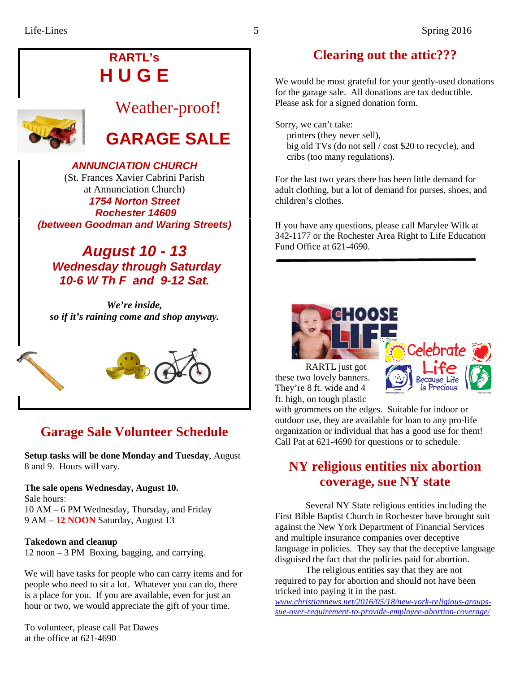# **RARTL's H U G E**



# Weather-proof!

# **GARAGE SALE**

## *ANNUNCIATION CHURCH*

(St. Frances Xavier Cabrini Parish at Annunciation Church) *1754 Norton Street Rochester 14609 (between Goodman and Waring Streets)*

### *August 10 - 13 Wednesday through Saturday 10-6 W Th F and 9-12 Sat.*

*We're inside, so if it's raining come and shop anyway.*



# **Garage Sale Volunteer Schedule**

**Setup tasks will be done Monday and Tuesday**, August 8 and 9. Hours will vary.

**The sale opens Wednesday, August 10.** Sale hours: 10 AM – 6 PM Wednesday, Thursday, and Friday 9 AM – **12 NOON** Saturday, August 13

#### **Takedown and cleanup**

12 noon – 3 PM Boxing, bagging, and carrying.

We will have tasks for people who can carry items and for people who need to sit a lot. Whatever you can do, there is a place for you. If you are available, even for just an hour or two, we would appreciate the gift of your time.

To volunteer, please call Pat Dawes at the office at 621-4690

# **Clearing out the attic???**

We would be most grateful for your gently-used donations for the garage sale. All donations are tax deductible. Please ask for a signed donation form.

Sorry, we can't take: printers (they never sell), big old TVs (do not sell / cost \$20 to recycle), and cribs (too many regulations).

For the last two years there has been little demand for adult clothing, but a lot of demand for purses, shoes, and children's clothes.

If you have any questions, please call Marylee Wilk at 342-1177 or the Rochester Area Right to Life Education Fund Office at 621-4690.



RARTL just got these two lovely banners. They're 8 ft. wide and 4 ft. high, on tough plastic



with grommets on the edges. Suitable for indoor or outdoor use, they are available for loan to any pro-life organization or individual that has a good use for them! Call Pat at 621-4690 for questions or to schedule.

## **NY religious entities nix abortion coverage, sue NY state**

Several NY State religious entities including the First Bible Baptist Church in Rochester have brought suit against the New York Department of Financial Services and multiple insurance companies over deceptive language in policies. They say that the deceptive language disguised the fact that the policies paid for abortion.

The religious entities say that they are not required to pay for abortion and should not have been tricked into paying it in the past.

*www.christiannews.net/2016/05/18/new-york-religious-groupssue-over-requirement-to-provide-employee-abortion-coverage/*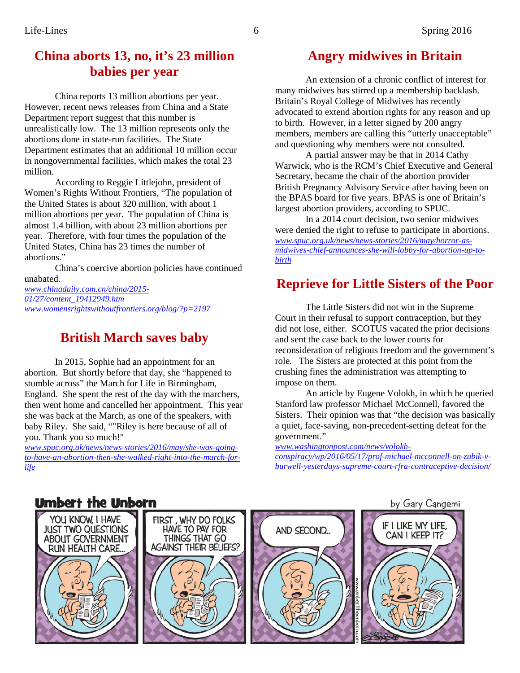## **China aborts 13, no, it's 23 million babies per year**

China reports 13 million abortions per year. However, recent news releases from China and a State Department report suggest that this number is unrealistically low. The 13 million represents only the abortions done in state-run facilities. The State Department estimates that an additional 10 million occur in nongovernmental facilities, which makes the total 23 million.

According to Reggie Littlejohn, president of Women's Rights Without Frontiers, "The population of the United States is about 320 million, with about 1 million abortions per year. The population of China is almost 1.4 billion, with about 23 million abortions per year. Therefore, with four times the population of the United States, China has 23 times the number of abortions."

China's coercive abortion policies have continued unabated.

*www.chinadaily.com.cn/china/2015- 01/27/content\_19412949.htm www.womensrightswithoutfrontiers.org/blog/?p=2197*

## **British March saves baby**

In 2015, Sophie had an appointment for an abortion. But shortly before that day, she "happened to stumble across" the March for Life in Birmingham, England. She spent the rest of the day with the marchers, then went home and cancelled her appointment. This year she was back at the March, as one of the speakers, with baby Riley. She said, ""Riley is here because of all of you. Thank you so much!"

*www.spuc.org.uk/news/news-stories/2016/may/she-was-goingto-have-an-abortion-then-she-walked-right-into-the-march-forlife*

## **Angry midwives in Britain**

An extension of a chronic conflict of interest for many midwives has stirred up a membership backlash. Britain's Royal College of Midwives has recently advocated to extend abortion rights for any reason and up to birth. However, in a letter signed by 200 angry members, members are calling this "utterly unacceptable" and questioning why members were not consulted.

A partial answer may be that in 2014 Cathy Warwick, who is the RCM's Chief Executive and General Secretary, became the chair of the abortion provider British Pregnancy Advisory Service after having been on the BPAS board for five years. BPAS is one of Britain's largest abortion providers, according to SPUC.

In a 2014 court decision, two senior midwives were denied the right to refuse to participate in abortions. *www.spuc.org.uk/news/news-stories/2016/may/horror-asmidwives-chief-announces-she-will-lobby-for-abortion-up-tobirth*

## **Reprieve for Little Sisters of the Poor**

The Little Sisters did not win in the Supreme Court in their refusal to support contraception, but they did not lose, either. SCOTUS vacated the prior decisions and sent the case back to the lower courts for reconsideration of religious freedom and the government's role. The Sisters are protected at this point from the crushing fines the administration was attempting to impose on them.

An article by Eugene Volokh, in which he queried Stanford law professor Michael McConnell, favored the Sisters. Their opinion was that "the decision was basically a quiet, face-saving, non-precedent-setting defeat for the government."

*www.washingtonpost.com/news/volokh-*

*conspiracy/wp/2016/05/17/prof-michael-mcconnell-on-zubik-vburwell-yesterdays-supreme-court-rfra-contraceptive-decision/*

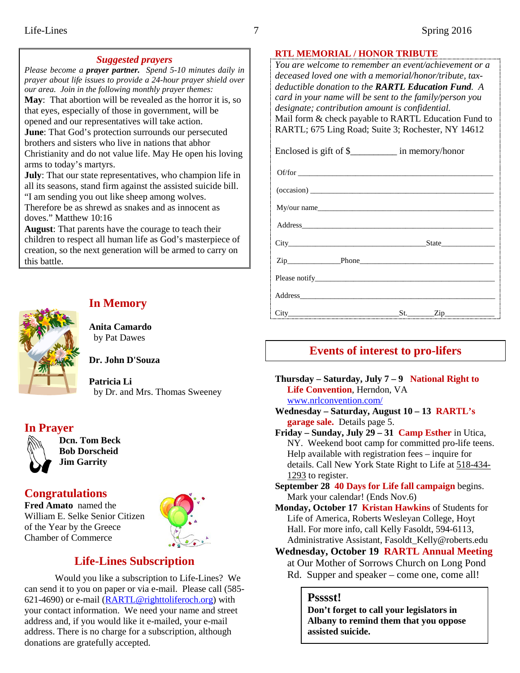#### *Suggested prayers*

*Please become a prayer partner. Spend 5-10 minutes daily in prayer about life issues to provide a 24-hour prayer shield over our area. Join in the following monthly prayer themes:* **May**: That abortion will be revealed as the horror it is, so that eyes, especially of those in government, will be opened and our representatives will take action. **June**: That God's protection surrounds our persecuted brothers and sisters who live in nations that abhor Christianity and do not value life. May He open his loving arms to today's martyrs. **July**: That our state representatives, who champion life in all its seasons, stand firm against the assisted suicide bill. "I am sending you out like sheep among wolves.

Therefore be as shrewd as snakes and as innocent as doves." Matthew 10:16

**August**: That parents have the courage to teach their children to respect all human life as God's masterpiece of creation, so the next generation will be armed to carry on this battle.



#### **In Memory**

**Anita Camardo** by Pat Dawes

**Dr. John D'Souza**

**Patricia Li** by Dr. and Mrs. Thomas Sweeney

#### **In Prayer**



**Dcn. Tom Beck Bob Dorscheid Jim Garrity**

#### **Congratulations**

**Fred Amato** named the William E. Selke Senior Citizen of the Year by the Greece Chamber of Commerce



## **Life-Lines Subscription**

Would you like a subscription to Life-Lines? We can send it to you on paper or via e-mail. Please call (585- 621-4690) or e-mail (RARTL@righttoliferoch.org) with your contact information. We need your name and street address and, if you would like it e-mailed, your e-mail address. There is no charge for a subscription, although donations are gratefully accepted.

#### **RTL MEMORIAL / HONOR TRIBUTE**

*You are welcome to remember an event/achievement or a deceased loved one with a memorial/honor/tribute, taxdeductible donation to the RARTL Education Fund. A card in your name will be sent to the family/person you designate; contribution amount is confidential.* Mail form & check payable to RARTL Education Fund to RARTL; 675 Ling Road; Suite 3; Rochester, NY 14612

Enclosed is gift of \$\_\_\_\_\_\_\_\_\_\_ in memory/honor

Of/for \_\_\_\_\_\_\_\_\_\_\_\_\_\_\_\_\_\_\_\_\_\_\_\_\_\_\_\_\_\_\_\_\_\_\_\_\_\_\_\_\_\_\_\_\_\_\_\_\_\_\_  $(occasion)$ 

My/our name

Address\_\_\_\_\_\_\_\_\_\_\_\_\_\_\_\_\_\_\_\_\_\_\_\_\_\_\_\_\_\_\_\_\_\_\_\_\_\_\_\_\_\_\_\_\_\_\_\_\_\_

City State

Zip Phone

Please notify

Address\_\_\_\_\_\_\_\_\_\_\_\_\_\_\_\_\_\_\_\_\_\_\_\_\_\_\_\_\_\_\_\_\_\_\_\_\_\_\_\_\_\_\_\_\_\_\_\_\_\_\_

 $City$   $City$   $Zip$   $St.$   $Zip$ 

### **Events of interest to pro-lifers**

**Thursday – Saturday, July 7 – 9 National Right to Life Convention**, Herndon, VA www.nrlconvention.com/

**Wednesday – Saturday, August 10 – 13 RARTL's garage sale.** Details page 5.

**Friday – Sunday, July 29 – 31 Camp Esther** in Utica, NY. Weekend boot camp for committed pro-life teens. Help available with registration fees – inquire for details. Call New York State Right to Life at 518-434- 1293 to register.

**September 28 40 Days for Life fall campaign** begins. Mark your calendar! (Ends Nov.6)

**Monday, October 17 Kristan Hawkins** of Students for Life of America, Roberts Wesleyan College, Hoyt Hall. For more info, call Kelly Fasoldt, 594-6113, Administrative Assistant, Fasoldt\_Kelly@roberts.edu

**Wednesday, October 19 RARTL Annual Meeting** at Our Mother of Sorrows Church on Long Pond Rd. Supper and speaker – come one, come all!

#### **Psssst!**

**Don't forget to call your legislators in Albany to remind them that you oppose assisted suicide.**